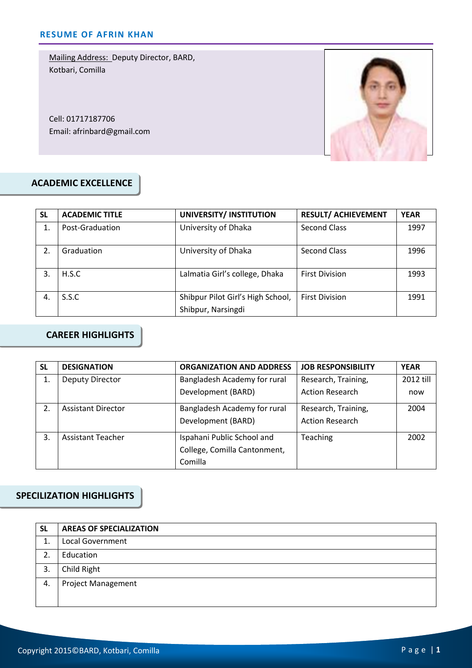Mailing Address: Deputy Director, BARD, Kotbari, Comilla

Cell: 01717187706 Email: afrinbard@gmail.com



### **ACADEMIC EXCELLENCE**

| SL | <b>ACADEMIC TITLE</b> | UNIVERSITY/ INSTITUTION                                 | <b>RESULT/ ACHIEVEMENT</b> | <b>YEAR</b> |
|----|-----------------------|---------------------------------------------------------|----------------------------|-------------|
|    | Post-Graduation       | University of Dhaka                                     | <b>Second Class</b>        | 1997        |
| 2. | Graduation            | University of Dhaka                                     | <b>Second Class</b>        | 1996        |
| 3. | H.S.C                 | Lalmatia Girl's college, Dhaka                          | <b>First Division</b>      | 1993        |
| 4. | S.S.C                 | Shibpur Pilot Girl's High School,<br>Shibpur, Narsingdi | <b>First Division</b>      | 1991        |

## **CAREER HIGHLIGHTS**

| <b>SL</b> | <b>DESIGNATION</b>        | <b>ORGANIZATION AND ADDRESS</b> | <b>JOB RESPONSIBILITY</b> | <b>YEAR</b> |
|-----------|---------------------------|---------------------------------|---------------------------|-------------|
| 1.        | Deputy Director           | Bangladesh Academy for rural    | Research, Training,       | 2012 till   |
|           |                           | Development (BARD)              | <b>Action Research</b>    | now         |
| 2.        | <b>Assistant Director</b> | Bangladesh Academy for rural    | Research, Training,       | 2004        |
|           |                           | Development (BARD)              | <b>Action Research</b>    |             |
| 3.        | <b>Assistant Teacher</b>  | Ispahani Public School and      | Teaching                  | 2002        |
|           |                           | College, Comilla Cantonment,    |                           |             |
|           |                           | Comilla                         |                           |             |

## **SPECILIZATION HIGHLIGHTS**

| <b>SL</b> | <b>AREAS OF SPECIALIZATION</b> |
|-----------|--------------------------------|
| 1.        | <b>Local Government</b>        |
|           | Education                      |
| 3.        | Child Right                    |
| 4.        | <b>Project Management</b>      |
|           |                                |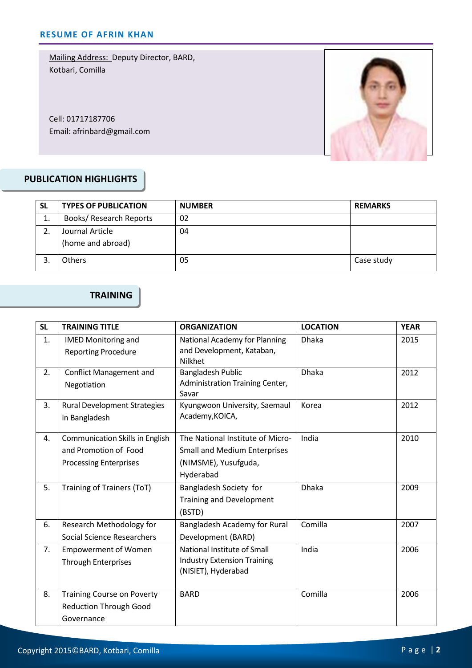Mailing Address: Deputy Director, BARD, Kotbari, Comilla

Cell: 01717187706 Email: afrinbard@gmail.com



## **PUBLICATION HIGHLIGHTS**

| SL | <b>TYPES OF PUBLICATION</b>    | <b>NUMBER</b> | <b>REMARKS</b> |
|----|--------------------------------|---------------|----------------|
| 1. | <b>Books/ Research Reports</b> | 02            |                |
|    | Journal Article                | 04            |                |
|    | (home and abroad)              |               |                |
|    | <b>Others</b>                  | 05            | Case study     |

# **TRAINING**

| <b>SL</b> | <b>TRAINING TITLE</b>                                                                                                                                          | <b>ORGANIZATION</b>                                                                                          | <b>LOCATION</b>      | <b>YEAR</b> |
|-----------|----------------------------------------------------------------------------------------------------------------------------------------------------------------|--------------------------------------------------------------------------------------------------------------|----------------------|-------------|
| 1.        | <b>IMED Monitoring and</b><br><b>Reporting Procedure</b>                                                                                                       | National Academy for Planning<br>and Development, Kataban,<br><b>Nilkhet</b>                                 | <b>Dhaka</b>         | 2015        |
| 2.        | <b>Conflict Management and</b><br>Negotiation                                                                                                                  | <b>Bangladesh Public</b><br>Administration Training Center,<br>Savar                                         | <b>Dhaka</b><br>2012 |             |
| 3.        | <b>Rural Development Strategies</b><br>Kyungwoon University, Saemaul<br>Korea<br>Academy, KOICA,<br>in Bangladesh                                              |                                                                                                              |                      | 2012        |
| 4.        | <b>Communication Skills in English</b><br>and Promotion of Food<br><b>Processing Enterprises</b>                                                               | The National Institute of Micro-<br><b>Small and Medium Enterprises</b><br>(NIMSME), Yusufguda,<br>Hyderabad | India                | 2010        |
| 5.        | Training of Trainers (ToT)                                                                                                                                     | Bangladesh Society for<br><b>Training and Development</b><br>(BSTD)                                          | Dhaka                | 2009        |
| 6.        | Comilla<br>Research Methodology for<br>Bangladesh Academy for Rural<br><b>Social Science Researchers</b><br>Development (BARD)                                 |                                                                                                              |                      | 2007        |
| 7.        | India<br>National Institute of Small<br><b>Empowerment of Women</b><br><b>Industry Extension Training</b><br><b>Through Enterprises</b><br>(NISIET), Hyderabad |                                                                                                              |                      | 2006        |
| 8.        | <b>Training Course on Poverty</b><br><b>Reduction Through Good</b><br>Governance                                                                               | <b>BARD</b>                                                                                                  | Comilla              | 2006        |